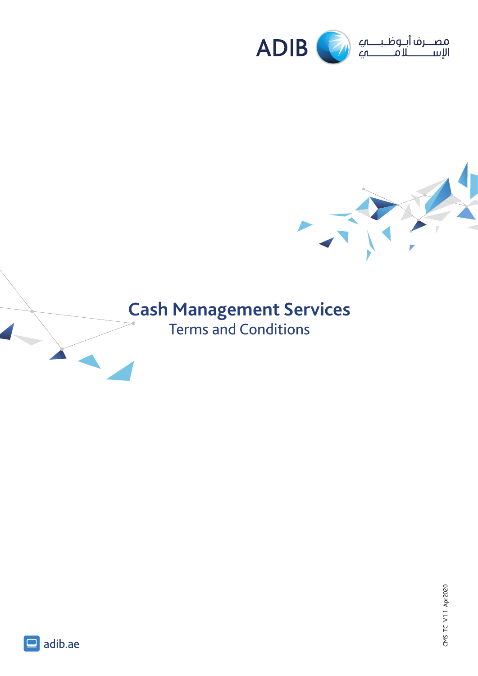



# **Cash Management Services**

Terms and Conditions

CMS\_TC\_V1.1\_Apr2020  $CNS_TCC_V11.Apr2020$ 



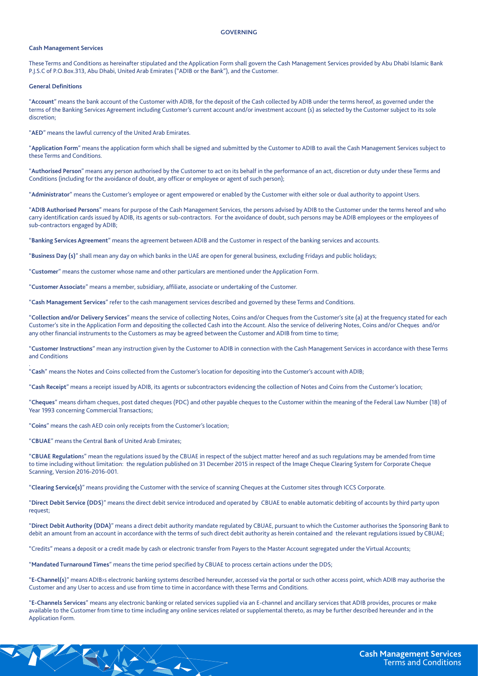#### **GOVERNING**

# **Cash Management Services**

These Terms and Conditions as hereinafter stipulated and the Application Form shall govern the Cash Management Services provided by Abu Dhabi Islamic Bank P.J.S.C of P.O.Box.313, Abu Dhabi, United Arab Emirates ("ADIB or the Bank"), and the Customer.

## **Definitions General**

.

"Account" means the bank account of the Customer with ADIB, for the deposit of the Cash collected by ADIB under the terms hereof, as governed under the terms of the Banking Services Agreement including Customer's current account and/or investment account (s) as selected by the Customer subject to its sole discretion:

"AED" means the lawful currency of the United Arab Emirates.

"Application Form" means the application form which shall be signed and submitted by the Customer to ADIB to avail the Cash Management Services subject to these Terms and Conditions.

"Authorised Person" means any person authorised by the Customer to act on its behalf in the performance of an act, discretion or duty under these Terms and Conditions (including for the avoidance of doubt, any officer or employee or agent of such person);

"Administrator" means the Customer's employee or agent empowered or enabled by the Customer with either sole or dual authority to appoint Users.

"ADIB Authorised Persons" means for purpose of the Cash Management Services, the persons advised by ADIB to the Customer under the terms hereof and who carry identification cards issued by ADIB, its agents or sub-contractors. For the avoidance of doubt, such persons may be ADIB employees or the employees of sub-contractors engaged by ADIB;

"Banking Services Agreement" means the agreement between ADIB and the Customer in respect of the banking services and accounts.

"Business Day (s)" shall mean any day on which banks in the UAE are open for general business, excluding Fridays and public holidays;

"Customer" means the customer whose name and other particulars are mentioned under the Application Form.

"Customer Associate" means a member, subsidiary, affiliate, associate or undertaking of the Customer.

"Cash Management Services" refer to the cash management services described and governed by these Terms and Conditions.

"Collection and/or Delivery Services" means the service of collecting Notes, Coins and/or Cheques from the Customer's site (a) at the frequency stated for each Customer's site in the Application Form and depositing the collected Cash into the Account. Also the service of delivering Notes, Coins and/or Cheques and/or any other financial instruments to the Customers as may be agreed between the Customer and ADIB from time to time;

"Customer Instructions" mean any instruction given by the Customer to ADIB in connection with the Cash Management Services in accordance with these Terms and Conditions

"Cash" means the Notes and Coins collected from the Customer's location for depositing into the Customer's account with ADIB;

"Cash Receipt" means a receipt issued by ADIB, its agents or subcontractors evidencing the collection of Notes and Coins from the Customer's location;

"Cheques" means dirham cheques, post dated cheques (PDC) and other payable cheques to the Customer within the meaning of the Federal Law Number (18) of Year 1993 concerning Commercial Transactions;

"Coins" means the cash AED coin only receipts from the Customer's location;

"CBUAE" means the Central Bank of United Arab Emirates;

"CBUAE Regulations" mean the regulations issued by the CBUAE in respect of the subject matter hereof and as such regulations may be amended from time to time including without limitation: the regulation published on 31 December 2015 in respect of the Image Cheque Clearing System for Corporate Cheque Scanning, Version 2016-2016-001.

"Clearing Service(s)" means providing the Customer with the service of scanning Cheques at the Customer sites through ICCS Corporate.

"Direct Debit Service (DDS)" means the direct debit service introduced and operated by CBUAE to enable automatic debiting of accounts by third party upon request;

"Direct Debit Authority (DDA)" means a direct debit authority mandate regulated by CBUAE, pursuant to which the Customer authorises the Sponsoring Bank to debit an amount from an account in accordance with the terms of such direct debit authority as herein contained and the relevant regulations issued by CBUAE;

"Credits" means a deposit or a credit made by cash or electronic transfer from Payers to the Master Account segregated under the Virtual Accounts;

"Mandated Turnaround Times" means the time period specified by CBUAE to process certain actions under the DDS;

"E-Channel(s)" means ADIB>s electronic banking systems described hereunder, accessed via the portal or such other access point, which ADIB may authorise the Customer and any User to access and use from time to time in accordance with these Terms and Conditions.

"E-Channels Services" means any electronic banking or related services supplied via an E-channel and ancillary services that ADIB provides, procures or make available to the Customer from time to time including any online services related or supplemental thereto, as may be further described hereunder and in the Application Form.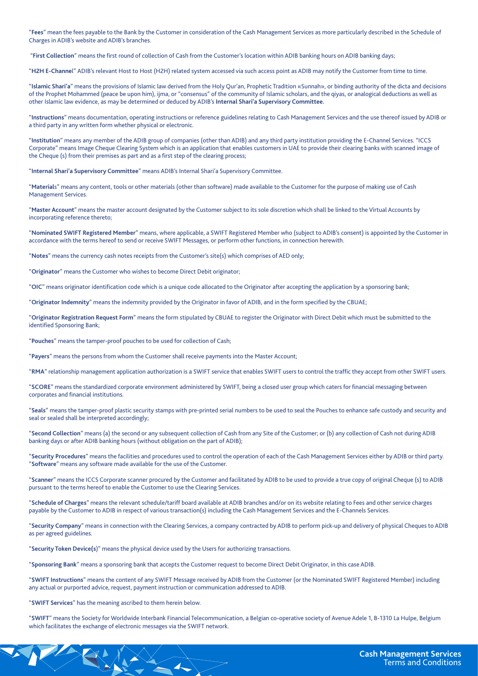"Fees" mean the fees payable to the Bank by the Customer in consideration of the Cash Management Services as more particularly described in the Schedule of Charges in ADIB's website and ADIB's branches.

"First Collection" means the first round of collection of Cash from the Customer's location within ADIB banking hours on ADIB banking days;

"H2H E-Channel" ADIB's relevant Host to Host (H2H) related system accessed via such access point as ADIB may notify the Customer from time to time.

"Islamic Shari'a" means the provisions of Islamic law derived from the Holy Qur'an, Prophetic Tradition «Sunnah», or binding authority of the dicta and decisions of the Prophet Mohammed (peace be upon him), ijma, or "consensus" of the community of Islamic scholars, and the qiyas, or analogical deductions as well as other Islamic law evidence, as may be determined or deduced by ADIB's Internal Shari'a Supervisory Committee.

"Instructions" means documentation, operating instructions or reference guidelines relating to Cash Management Services and the use thereof issued by ADIB or a third party in any written form whether physical or electronic.

"Institution" means any member of the ADIB group of companies (other than ADIB) and any third party institution providing the E-Channel Services. "ICCS Corporate" means Image Cheque Clearing System which is an application that enables customers in UAE to provide their clearing banks with scanned image of the Cheque (s) from their premises as part and as a first step of the clearing process;

"Internal Shari'a Supervisory Committee" means ADIB's Internal Shari'a Supervisory Committee.

"Materials" means any content, tools or other materials (other than software) made available to the Customer for the purpose of making use of Cash Management Services.

"Master Account" means the master account designated by the Customer subject to its sole discretion which shall be linked to the Virtual Accounts by incorporating reference thereto:

"Nominated SWIFT Registered Member" means, where applicable, a SWIFT Registered Member who (subject to ADIB's consent) is appointed by the Customer in accordance with the terms hereof to send or receive SWIFT Messages, or perform other functions, in connection herewith.

"Notes" means the currency cash notes receipts from the Customer's site(s) which comprises of AED only;

"Originator" means the Customer who wishes to become Direct Debit originator;

"OIC" means originator identification code which is a unique code allocated to the Originator after accepting the application by a sponsoring bank;

"Originator Indemnity" means the indemnity provided by the Originator in favor of ADIB, and in the form specified by the CBUAE;

"Originator Registration Request Form" means the form stipulated by CBUAE to register the Originator with Direct Debit which must be submitted to the identified Sponsoring Bank;

"Pouches" means the tamper-proof pouches to be used for collection of Cash;

"Payers" means the persons from whom the Customer shall receive payments into the Master Account;

"RMA" relationship management application authorization is a SWIFT service that enables SWIFT users to control the traffic they accept from other SWIFT users.

"SCORE" means the standardized corporate environment administered by SWIFT, being a closed user group which caters for financial messaging between corporates and financial institutions.

"Seals" means the tamper-proof plastic security stamps with pre-printed serial numbers to be used to seal the Pouches to enhance safe custody and security and seal or sealed shall be interpreted accordingly;

"Second Collection" means (a) the second or any subsequent collection of Cash from any Site of the Customer; or (b) any collection of Cash not during ADIB banking days or after ADIB banking hours (without obligation on the part of ADIB);

"Security Procedures" means the facilities and procedures used to control the operation of each of the Cash Management Services either by ADIB or third party. "Software" means any software made available for the use of the Customer.

"Scanner" means the ICCS Corporate scanner procured by the Customer and facilitated by ADIB to be used to provide a true copy of original Cheque (s) to ADIB pursuant to the terms hereof to enable the Customer to use the Clearing Services.

"Schedule of Charges" means the relevant schedule/tariff board available at ADIB branches and/or on its website relating to Fees and other service charges payable by the Customer to ADIB in respect of various transaction(s) including the Cash Management Services and the E-Channels Services.

"Security Company" means in connection with the Clearing Services, a company contracted by ADIB to perform pick-up and delivery of physical Cheques to ADIB as per agreed guidelines.

"Security Token Device(s)" means the physical device used by the Users for authorizing transactions.

"Sponsoring Bank" means a sponsoring bank that accepts the Customer request to become Direct Debit Originator, in this case ADIB.

"SWIFT Instructions" means the content of any SWIFT Message received by ADIB from the Customer (or the Nominated SWIFT Registered Member) including any actual or purported advice, request, payment instruction or communication addressed to ADIB.

"SWIFT Services" has the meaning ascribed to them herein below.

"SWIFT" means the Society for Worldwide Interbank Financial Telecommunication, a Belgian co-operative society of Avenue Adele 1, B-1310 La Hulpe, Belgium which facilitates the exchange of electronic messages via the SWIFT network.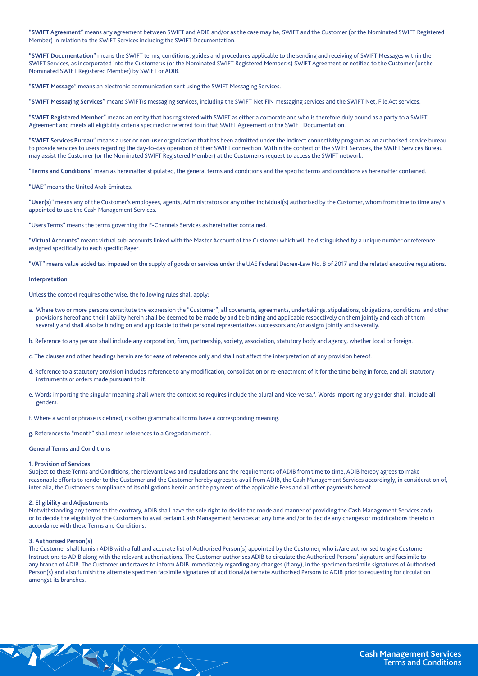"SWIFT Agreement" means any agreement between SWIFT and ADIB and/or as the case may be, SWIFT and the Customer (or the Nominated SWIFT Registered Member) in relation to the SWIFT Services including the SWIFT Documentation.

"SWIFT Documentation" means the SWIFT terms, conditions, guides and procedures applicable to the sending and receiving of SWIFT Messages within the SWIFT Services, as incorporated into the Customer s (or the Nominated SWIFT Registered Member >s) SWIFT Agreement or notified to the Customer (or the Nominated SWIFT Registered Member) by SWIFT or ADIB.

"SWIFT Message" means an electronic communication sent using the SWIFT Messaging Services.

"SWIFT Messaging Services" means SWIFT>s messaging services, including the SWIFT Net FIN messaging services and the SWIFT Net, File Act services.

"SWIFT Registered Member" means an entity that has registered with SWIFT as either a corporate and who is therefore duly bound as a party to a SWIFT Agreement and meets all eligibility criteria specified or referred to in that SWIFT Agreement or the SWIFT Documentation.

"SWIFT Services Bureau" means a user or non-user organization that has been admitted under the indirect connectivity program as an authorised service bureau to provide services to users regarding the day-to-day operation of their SWIFT connection. Within the context of the SWIFT Services, the SWIFT Services Bureau may assist the Customer (or the Nominated SWIFT Registered Member) at the Customers request to access the SWIFT network.

"Terms and Conditions" mean as hereinafter stipulated, the general terms and conditions and the specific terms and conditions as hereinafter contained.

"UAE" means the United Arab Emirates.

"User(s)" means any of the Customer's employees, agents, Administrators or any other individual(s) authorised by the Customer, whom from time to time are/is appointed to use the Cash Management Services.

"Users Terms" means the terms governing the E-Channels Services as hereinafter contained.

"Virtual Accounts" means virtual sub-accounts linked with the Master Account of the Customer which will be distinguished by a unique number or reference assigned specifically to each specific Payer.

"VAT" means value added tax imposed on the supply of goods or services under the UAE Federal Decree-Law No. 8 of 2017 and the related executive regulations.

## **Interpretation**

Unless the context requires otherwise, the following rules shall apply:

- a. Where two or more persons constitute the expression the "Customer", all covenants, agreements, undertakings, stipulations, obligations, conditions and other provisions hereof and their liability herein shall be deemed to be made by and be binding and applicable respectively on them jointly and each of them severally and shall also be binding on and applicable to their personal representatives successors and/or assigns jointly and severally.
- b. Reference to any person shall include any corporation, firm, partnership, society, association, statutory body and agency, whether local or foreign.
- c. The clauses and other headings herein are for ease of reference only and shall not affect the interpretation of any provision hereof.
- d. Reference to a statutory provision includes reference to any modification, consolidation or re-enactment of it for the time being in force, and all statutory instruments or orders made pursuant to it.
- e. Words importing the singular meaning shall where the context so requires include the plural and vice-versa.f. Words importing any gender shall include all .genders

f. Where a word or phrase is defined, its other grammatical forms have a corresponding meaning.

g. References to "month" shall mean references to a Gregorian month.

SY Y

#### **Ceneral Terms and Conditions**

#### **1. Provision of Services**

Subject to these Terms and Conditions, the relevant laws and regulations and the requirements of ADIB from time to time, ADIB hereby agrees to make reasonable efforts to render to the Customer and the Customer hereby agrees to avail from ADIB, the Cash Management Services accordingly, in consideration of, inter alia, the Customer's compliance of its obligations herein and the payment of the applicable Fees and all other payments hereof.

### **2. Eligibility and Adjustments**

Notwithstanding any terms to the contrary, ADIB shall have the sole right to decide the mode and manner of providing the Cash Management Services and/ or to decide the eligibility of the Customers to avail certain Cash Management Services at any time and /or to decide any changes or modifications thereto in accordance with these Terms and Conditions.

# **(3)** Authorised Person(s)

The Customer shall furnish ADIB with a full and accurate list of Authorised Person(s) appointed by the Customer, who is/are authorised to give Customer Instructions to ADIB along with the relevant authorizations. The Customer authorises ADIB to circulate the Authorised Persons' signature and facsimile to any branch of ADIB. The Customer undertakes to inform ADIB immediately regarding any changes (if any), in the specimen facsimile signatures of Authorised Person(s) and also furnish the alternate specimen facsimile signatures of additional/alternate Authorised Persons to ADIB prior to requesting for circulation amongst its branches.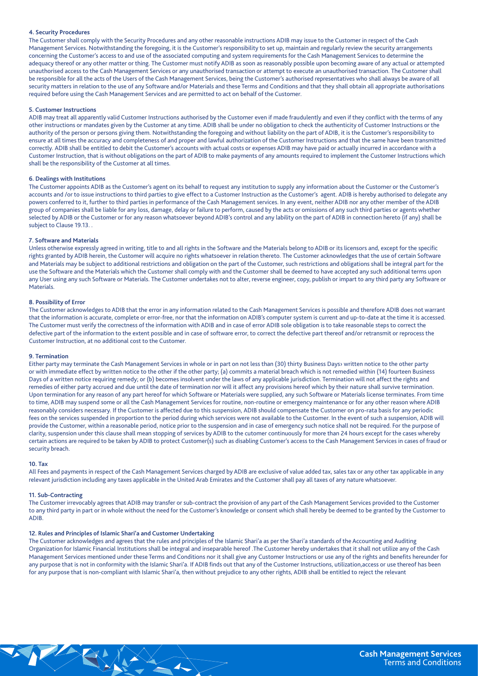# **4. Security Procedures**

The Customer shall comply with the Security Procedures and any other reasonable instructions ADIB may issue to the Customer in respect of the Cash Management Services. Notwithstanding the foregoing, it is the Customer's responsibility to set up, maintain and regularly review the security arrangements concerning the Customer's access to and use of the associated computing and system requirements for the Cash Management Services to determine the adequacy thereof or any other matter or thing. The Customer must notify ADIB as soon as reasonably possible upon becoming aware of any actual or attempted unauthorised access to the Cash Management Services or any unauthorised transaction or attempt to execute an unauthorised transaction. The Customer shall be responsible for all the acts of the Users of the Cash Management Services, being the Customer's authorised representatives who shall always be aware of all security matters in relation to the use of any Software and/or Materials and these Terms and Conditions and that they shall obtain all appropriate authorisations required before using the Cash Management Services and are permitted to act on behalf of the Customer.

# **Instructions**

ADIB may treat all apparently valid Customer Instructions authorised by the Customer even if made fraudulently and even if they conflict with the terms of any other instructions or mandates given by the Customer at any time. ADIB shall be under no obligation to check the authenticity of Customer Instructions or the authority of the person or persons giving them. Notwithstanding the foregoing and without liability on the part of ADIB, it is the Customer's responsibility to ensure at all times the accuracy and completeness of and proper and lawful authorization of the Customer Instructions and that the same have been transmitted correctly. ADIB shall be entitled to debit the Customer's accounts with actual costs or expenses ADIB may have paid or actually incurred in accordance with a Customer Instruction, that is without obligations on the part of ADIB to make payments of any amounts required to implement the Customer Instructions which shall be the responsibility of the Customer at all times.

# **6. Dealings with Institutions**

The Customer appoints ADIB as the Customer's agent on its behalf to request any institution to supply any information about the Customer or the Customer's accounts and /or to issue instructions to third parties to give effect to a Customer Instruction as the Customer's agent. ADIB is hereby authorised to delegate any powers conferred to it, further to third parties in performance of the Cash Management services. In any event, neither ADIB nor any other member of the ADIB group of companies shall be liable for any loss, damage, delay or failure to perform, caused by the acts or omissions of any such third parties or agents whether selected by ADIB or the Customer or for any reason whatsoever beyond ADIB's control and any lability on the part of ADIB in connection hereto (if any) shall be subject to Clause 19.13.

## **7. Software and Materials**

Unless otherwise expressly agreed in writing, title to and all rights in the Software and the Materials belong to ADIB or its licensors and, except for the specific rights granted by ADIB herein, the Customer will acquire no rights whatsoever in relation thereto. The Customer acknowledges that the use of certain Software and Materials may be subject to additional restrictions and obligation on the part of the Customer, such restrictions and obligations shall be integral part for the use the Software and the Materials which the Customer shall comply with and the Customer shall be deemed to have accepted any such additional terms upon any User using any such Software or Materials. The Customer undertakes not to alter, reverse engineer, copy, publish or impart to any third party any Software or Materials.

# **8. Possibility of Error**

The Customer acknowledges to ADIB that the error in any information related to the Cash Management Services is possible and therefore ADIB does not warrant that the information is accurate, complete or error-free, nor that the information on ADIB's computer system is current and up-to-date at the time it is accessed. The Customer must verify the correctness of the information with ADIB and in case of error ADIB sole obligation is to take reasonable steps to correct the defective part of the information to the extent possible and in case of software error, to correct the defective part thereof and/or retransmit or reprocess the Customer Instruction, at no additional cost to the Customer.

## **Termination 9.**

Either party may terminate the Cash Management Services in whole or in part on not less than (30) thirty Business Days> written notice to the other party or with immediate effect by written notice to the other if the other party; (a) commits a material breach which is not remedied within (14) fourteen Business Days of a written notice requiring remedy; or (b) becomes insolvent under the laws of any applicable jurisdiction. Termination will not affect the rights and remedies of either party accrued and due until the date of termination nor will it affect any provisions hereof which by their nature shall survive termination. Upon termination for any reason of any part hereof for which Software or Materials were supplied, any such Software or Materials license terminates. From time to time, ADIB may suspend some or all the Cash Management Services for routine, non-routine or emergency maintenance or for any other reason where ADIB reasonably considers necessary. If the Customer is affected due to this suspension, ADIB should compensate the Customer on pro-rata basis for any periodic fees on the services suspended in proportion to the period during which services were not available to the Customer. In the event of such a suspension, ADIB will provide the Customer, within a reasonable period, notice prior to the suspension and in case of emergency such notice shall not be required. For the purpose of clarity, suspension under this clause shall mean stopping of services by ADIB to the cutomer continuously for more than 24 hours except for the cases whereby certain actions are required to be taken by ADIB to protect Customer(s) such as disabling Customer's access to the Cash Management Services in cases of fraud or security breach.

## **Tax 10.**

All Fees and payments in respect of the Cash Management Services charged by ADIB are exclusive of value added tax, sales tax or any other tax applicable in any relevant jurisdiction including any taxes applicable in the United Arab Emirates and the Customer shall pay all taxes of any nature whatsoever.

# **11. Sub-Contracting**

The Customer irrevocably agrees that ADIB may transfer or sub-contract the provision of any part of the Cash Management Services provided to the Customer to any third party in part or in whole without the need for the Customer's knowledge or consent which shall hereby be deemed to be granted by the Customer to .ADIB

# 12. Rules and Principles of Islamic Shari'a and Customer Undertaking

The Customer acknowledges and agrees that the rules and principles of the Islamic Shari'a as per the Shari'a standards of the Accounting and Auditing Organization for Islamic Financial Institutions shall be integral and inseparable hereof .The Customer hereby undertakes that it shall not utilize any of the Cash Management Services mentioned under these Terms and Conditions nor it shall give any Customer Instructions or use any of the rights and benefits hereunder for any purpose that is not in conformity with the Islamic Shari'a. If ADIB finds out that any of the Customer Instructions, utilization, access or use thereof has been for any purpose that is non-compliant with Islamic Shari'a, then without prejudice to any other rights, ADIB shall be entitled to reject the relevant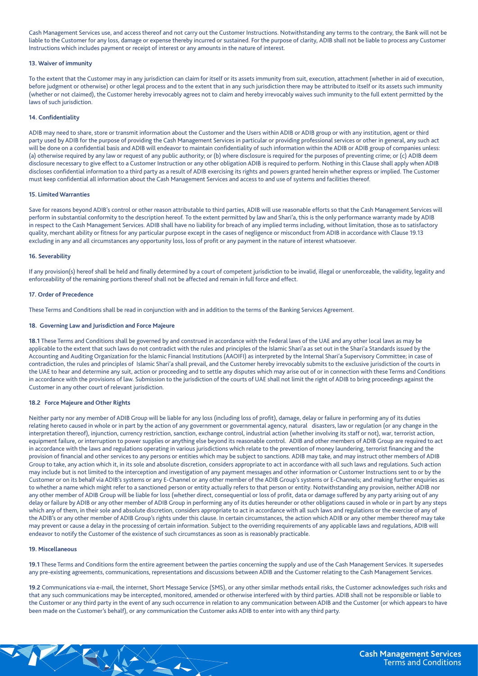Cash Management Services use, and access thereof and not carry out the Customer Instructions. Notwithstanding any terms to the contrary, the Bank will not be liable to the Customer for any loss, damage or expense thereby incurred or sustained. For the purpose of clarity, ADIB shall not be liable to process any Customer Instructions which includes payment or receipt of interest or any amounts in the nature of interest.

# **13. Waiver of immunity**

To the extent that the Customer may in any jurisdiction can claim for itself or its assets immunity from suit, execution, attachment (whether in aid of execution, before judgment or otherwise) or other legal process and to the extent that in any such jurisdiction there may be attributed to itself or its assets such immunity (whether or not claimed), the Customer hereby irrevocably agrees not to claim and hereby irrevocably waives such immunity to the full extent permitted by the laws of such jurisdiction.

# **Confidentiality 14.**

ADIB may need to share, store or transmit information about the Customer and the Users within ADIB or ADIB group or with any institution, agent or third party used by ADIB for the purpose of providing the Cash Management Services in particular or providing professional services or other in general, any such act will be done on a confidential basis and ADIB will endeavor to maintain confidentiality of such information within the ADIB or ADIB group of companies unless: (a) otherwise required by any law or request of any public authority; or (b) where disclosure is required for the purposes of preventing crime; or (c) ADIB deem disclosure necessary to give effect to a Customer Instruction or any other obligation ADIB is required to perform. Nothing in this Clause shall apply when ADIB discloses confidential information to a third party as a result of ADIB exercising its rights and powers granted herein whether express or implied. The Customer must keep confidential all information about the Cash Management Services and access to and use of systems and facilities thereof.

# **15. Limited Warranties**

Save for reasons bevond ADIB's control or other reason attributable to third parties. ADIB will use reasonable efforts so that the Cash Management Services will perform in substantial conformity to the description hereof. To the extent permitted by law and Shari'a, this is the only performance warranty made by ADIB in respect to the Cash Management Services. ADIB shall have no liability for breach of any implied terms including, without limitation, those as to satisfactory quality, merchant ability or fitness for any particular purpose except in the cases of negligence or misconduct from ADIB in accordance with Clause 19.13 excluding in any and all circumstances any opportunity loss, loss of profit or any payment in the nature of interest whatsoever.

## **16. Severability**

If any provision(s) hereof shall be held and finally determined by a court of competent jurisdiction to be invalid, illegal or unenforceable, the validity, legality and enforceability of the remaining portions thereof shall not be affected and remain in full force and effect.

## **17. Order of Precedence**

These Terms and Conditions shall be read in conjunction with and in addition to the terms of the Banking Services Agreement.

# 18. Governing Law and Jurisdiction and Force Majeure

18.1 These Terms and Conditions shall be governed by and construed in accordance with the Federal laws of the UAE and any other local laws as may be applicable to the extent that such laws do not contradict with the rules and principles of the Islamic Shari'a as set out in the Shari'a Standards issued by the Accounting and Auditing Organization for the Islamic Financial Institutions (AAOIFI) as interpreted by the Internal Shari'a Supervisory Committee; in case of contradiction, the rules and principles of Islamic Shari'a shall prevail, and the Customer hereby irrevocably submits to the exclusive jurisdiction of the courts in the UAE to hear and determine any suit, action or proceeding and to settle any disputes which may arise out of or in connection with these Terms and Conditions in accordance with the provisions of law. Submission to the jurisdiction of the courts of UAE shall not limit the right of ADIB to bring proceedings against the Customer in any other court of relevant jurisdiction.

# **18.2 Force Majeure and Other Rights**

Neither party nor any member of ADIB Group will be liable for any loss (including loss of profit), damage, delay or failure in performing any of its duties relating hereto caused in whole or in part by the action of any government or governmental agency, natural disasters, law or regulation (or any change in the interpretation thereof), injunction, currency restriction, sanction, exchange control, industrial action (whether involving its staff or not), war, terrorist action, equipment failure, or interruption to power supplies or anything else beyond its reasonable control. ADIB and other members of ADIB Group are required to act in accordance with the laws and regulations operating in various jurisdictions which relate to the prevention of money laundering, terrorist financing and the provision of financial and other services to any persons or entities which may be subject to sanctions. ADIB may take, and may instruct other members of ADIB Group to take, any action which it, in its sole and absolute discretion, considers appropriate to act in accordance with all such laws and regulations. Such action may include but is not limited to the interception and investigation of any payment messages and other information or Customer Instructions sent to or by the Customer or on its behalf via ADIB's systems or any E-Channel or any other member of the ADIB Group's systems or E-Channels; and making further enquiries as to whether a name which might refer to a sanctioned person or entity actually refers to that person or entity. Notwithstanding any provision, neither ADIB nor any other member of ADIB Group will be liable for loss (whether direct, consequential or loss of profit, data or damage suffered by any party arising out of any delay or failure by ADIB or any other member of ADIB Group in performing any of its duties hereunder or other obligations caused in whole or in part by any steps which any of them, in their sole and absolute discretion, considers appropriate to act in accordance with all such laws and regulations or the exercise of any of the ADIB's or any other member of ADIB Group's rights under this clause. In certain circumstances, the action which ADIB or any other member thereof may take may prevent or cause a delay in the processing of certain information. Subject to the overriding requirements of any applicable laws and regulations, ADIB will endeavor to notify the Customer of the existence of such circumstances as soon as is reasonably practicable.

# **Miscellaneous 19.**

19.1 These Terms and Conditions form the entire agreement between the parties concerning the supply and use of the Cash Management Services. It supersedes any pre-existing agreements, communications, representations and discussions between ADIB and the Customer relating to the Cash Management Services.

19.2 Communications via e-mail, the internet, Short Message Service (SMS), or any other similar methods entail risks, the Customer acknowledges such risks and that any such communications may be intercepted, monitored, amended or otherwise interfered with by third parties. ADIB shall not be responsible or liable to the Customer or any third party in the event of any such occurrence in relation to any communication between ADIB and the Customer (or which appears to have been made on the Customer's behalf), or any communication the Customer asks ADIB to enter into with any third party.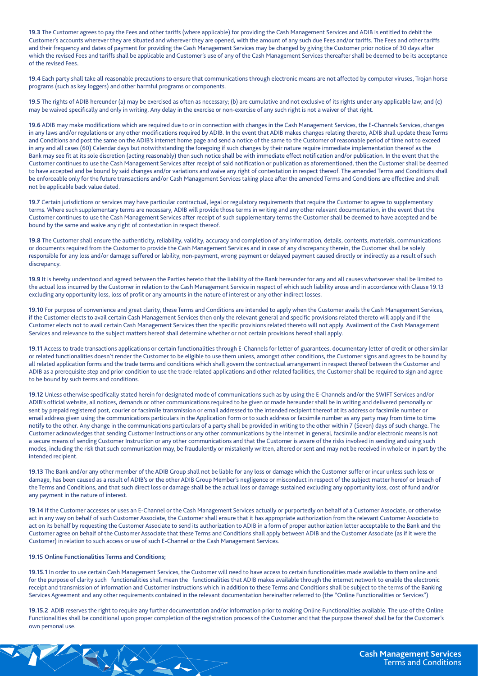19.3 The Customer agrees to pay the Fees and other tariffs (where applicable) for providing the Cash Management Services and ADIB is entitled to debit the Customer's accounts wherever they are situated and wherever they are opened, with the amount of any such due Fees and/or tariffs. The Fees and other tariffs and their frequency and dates of payment for providing the Cash Management Services may be changed by giving the Customer prior notice of 30 days after which the revised Fees and tariffs shall be applicable and Customer's use of any of the Cash Management Services thereafter shall be deemed to be its acceptance of the revised Fees

19.4 Each party shall take all reasonable precautions to ensure that communications through electronic means are not affected by computer viruses, Trojan horse programs (such as key loggers) and other harmful programs or components.

19.5 The rights of ADIB hereunder (a) may be exercised as often as necessary; (b) are cumulative and not exclusive of its rights under any applicable law; and (c) may be waived specifically and only in writing. Any delay in the exercise or non-exercise of any such right is not a waiver of that right.

19.6 ADIB may make modifications which are required due to or in connection with changes in the Cash Management Services, the E-Channels Services, changes in any laws and/or regulations or any other modifications required by ADIB. In the event that ADIB makes changes relating thereto, ADIB shall update these Terms and Conditions and post the same on the ADIB's internet home page and send a notice of the same to the Customer of reasonable period of time not to exceed in any and all cases (60) Calendar days but notwithstanding the foregoing if such changes by their nature require immediate implementation thereof as the Bank may see fit at its sole discretion (acting reasonably) then such notice shall be with immediate effect notification and/or publication. In the event that the Customer continues to use the Cash Management Services after receipt of said notification or publication as aforementioned, then the Customer shall be deemed to have accepted and be bound by said changes and/or variations and waive any right of contestation in respect thereof. The amended Terms and Conditions shall be enforceable only for the future transactions and/or Cash Management Services taking place after the amended Terms and Conditions are effective and shall not be applicable back value dated.

19.7 Certain jurisdictions or services may have particular contractual, legal or regulatory requirements that require the Customer to agree to supplementary terms. Where such supplementary terms are necessary, ADIB will provide those terms in writing and any other relevant documentation, in the event that the Customer continues to use the Cash Management Services after receipt of such supplementary terms the Customer shall be deemed to have accepted and be bound by the same and waive any right of contestation in respect thereof.

19.8 The Customer shall ensure the authenticity, reliability, validity, accuracy and completion of any information, details, contents, materials, communications or documents required from the Customer to provide the Cash Management Services and in case of any discrepancy therein, the Customer shall be solely responsible for any loss and/or damage suffered or lability, non-payment, wrong payment or delayed payment caused directly or indirectly as a result of such discrepancy.

19.9 It is hereby understood and agreed between the Parties hereto that the liability of the Bank hereunder for any and all causes whatsoever shall be limited to the actual loss incurred by the Customer in relation to the Cash Management Service in respect of which such liability arose and in accordance with Clause 19.13 excluding any opportunity loss, loss of profit or any amounts in the nature of interest or any other indirect losses.

19.10 For purpose of convenience and great clarity, these Terms and Conditions are intended to apply when the Customer avails the Cash Management Services, if the Customer elects to avail certain Cash Management Services then only the relevant general and specific provisions related thereto will apply and if the Customer elects not to avail certain Cash Management Services then the specific provisions related thereto will not apply. Availment of the Cash Management Services and relevance to the subject matters hereof shall determine whether or not certain provisions hereof shall apply.

19.11 Access to trade transactions applications or certain functionalities through E-Channels for letter of guarantees, documentary letter of credit or other similar or related functionalities doesn't render the Customer to be eligible to use them unless, amongst other conditions, the Customer signs and agrees to be bound by all related application forms and the trade terms and conditions which shall govern the contractual arrangement in respect thereof between the Customer and ADIB as a prerequisite step and prior condition to use the trade related applications and other related facilities, the Customer shall be required to sign and agree to be bound by such terms and conditions.

19.12 Unless otherwise specifically stated herein for designated mode of communications such as by using the E-Channels and/or the SWIFT Services and/or ADIB's official website, all notices, demands or other communications required to be given or made hereunder shall be in writing and delivered personally or sent by prepaid registered post, courier or facsimile transmission or email addressed to the intended recipient thereof at its address or facsimile number or email address given using the communications particulars in the Application Form or to such address or facsimile number as any party may from time to time notify to the other. Any change in the communications particulars of a party shall be provided in writing to the other within 7 (Seven) days of such change. The Customer acknowledges that sending Customer Instructions or any other communications by the internet in general, facsimile and/or electronic means is not a secure means of sending Customer Instruction or any other communications and that the Customer is aware of the risks involved in sending and using such modes, including the risk that such communication may, be fraudulently or mistakenly written, altered or sent and may not be received in whole or in part by the intended recipient.

19.13 The Bank and/or any other member of the ADIB Group shall not be liable for any loss or damage which the Customer suffer or incur unless such loss or damage, has been caused as a result of ADIB's or the other ADIB Group Member's negligence or misconduct in respect of the subject matter hereof or breach of the Terms and Conditions, and that such direct loss or damage shall be the actual loss or damage sustained excluding any opportunity loss, cost of fund and/or any payment in the nature of interest.

19.14 If the Customer accesses or uses an E-Channel or the Cash Management Services actually or purportedly on behalf of a Customer Associate, or otherwise act in any way on behalf of such Customer Associate, the Customer shall ensure that it has appropriate authorization from the relevant Customer Associate to act on its behalf by requesting the Customer Associate to send its authorization to ADIB in a form of proper authorization letter acceptable to the Bank and the Customer agree on behalf of the Customer Associate that these Terms and Conditions shall apply between ADIB and the Customer Associate (as if it were the Customer) in relation to such access or use of such E-Channel or the Cash Management Services.

# **19.15 Online Functionalities Terms and Conditions:**

19.15.1 In order to use certain Cash Management Services, the Customer will need to have access to certain functionalities made available to them online and for the purpose of clarity such functionalities shall mean the functionalities that ADIB makes available through the internet network to enable the electronic receipt and transmission of information and Customer Instructions which in addition to these Terms and Conditions shall be subject to the terms of the Banking Services Agreement and any other requirements contained in the relevant documentation hereinafter referred to (the "Online Functionalities or Services")

19.15.2 ADIB reserves the right to require any further documentation and/or information prior to making Online Functionalities available. The use of the Online Functionalities shall be conditional upon proper completion of the registration process of the Customer and that the purpose thereof shall be for the Customer's own personal use.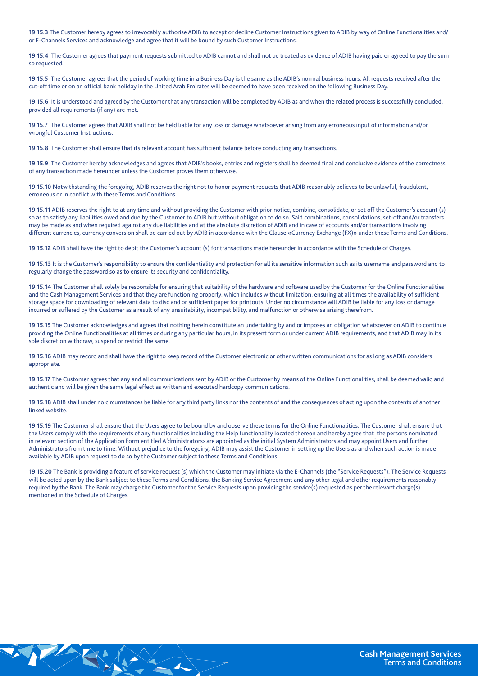19.15.3 The Customer hereby agrees to irrevocably authorise ADIB to accept or decline Customer Instructions given to ADIB by way of Online Functionalities and/ or E-Channels Services and acknowledge and agree that it will be bound by such Customer Instructions.

19.15.4 The Customer agrees that payment requests submitted to ADIB cannot and shall not be treated as evidence of ADIB having paid or agreed to pay the sum so requested.

19.15.5 The Customer agrees that the period of working time in a Business Day is the same as the ADIB's normal business hours. All requests received after the cut-off time or on an official bank holiday in the United Arab Emirates will be deemed to have been received on the following Business Day.

19.15.6 It is understood and agreed by the Customer that any transaction will be completed by ADIB as and when the related process is successfully concluded, provided all requirements (if any) are met.

19.15.7 The Customer agrees that ADIB shall not be held liable for any loss or damage whatsoever arising from any erroneous input of information and/or wrongful Customer Instructions.

19.15.8 The Customer shall ensure that its relevant account has sufficient balance before conducting any transactions.

19.15.9 The Customer hereby acknowledges and agrees that ADIB's books, entries and registers shall be deemed final and conclusive evidence of the correctness of any transaction made hereunder unless the Customer proves them otherwise.

19.15.10 Notwithstanding the foregoing, ADIB reserves the right not to honor payment requests that ADIB reasonably believes to be unlawful, fraudulent, erroneous or in conflict with these Terms and Conditions.

19.15.11 ADIB reserves the right to at any time and without providing the Customer with prior notice, combine, consolidate, or set off the Customer's account (s) so as to satisfy any liabilities owed and due by the Customer to ADIB but without obligation to do so. Said combinations, consolidations, set-off and/or transfers may be made as and when required against any due liabilities and at the absolute discretion of ADIB and in case of accounts and/or transactions involving different currencies, currency conversion shall be carried out by ADIB in accordance with the Clause «Currency Exchange (FX)» under these Terms and Conditions.

19.15.12 ADIB shall have the right to debit the Customer's account (s) for transactions made hereunder in accordance with the Schedule of Charges.

19.15.13 It is the Customer's responsibility to ensure the confidentiality and protection for all its sensitive information such as its username and password and to regularly change the password so as to ensure its security and confidentiality.

19.15.14 The Customer shall solely be responsible for ensuring that suitability of the hardware and software used by the Customer for the Online Functionalities and the Cash Management Services and that they are functioning properly, which includes without limitation, ensuring at all times the availability of sufficient storage space for downloading of relevant data to disc and or sufficient paper for printouts. Under no circumstance will ADIB be liable for any loss or damage incurred or suffered by the Customer as a result of any unsuitability, incompatibility, and malfunction or otherwise arising therefrom.

19.15.15 The Customer acknowledges and agrees that nothing herein constitute an undertaking by and or imposes an obligation whatsoever on ADIB to continue providing the Online Functionalities at all times or during any particular hours, in its present form or under current ADIB requirements, and that ADIB may in its sole discretion withdraw, suspend or restrict the same.

19.15.16 ADIB may record and shall have the right to keep record of the Customer electronic or other written communications for as long as ADIB considers .appropriate

19.15.17 The Customer agrees that any and all communications sent by ADIB or the Customer by means of the Online Functionalities, shall be deemed valid and authentic and will be given the same legal effect as written and executed hardcopy communications.

19.15.18 ADIB shall under no circumstances be liable for any third party links nor the contents of and the consequences of acting upon the contents of another linked website.

19.15.19 The Customer shall ensure that the Users agree to be bound by and observe these terms for the Online Functionalities. The Customer shall ensure that the Users comply with the requirements of any functionalities including the Help functionality located thereon and hereby agree that the persons nominated in relevant section of the Application Form entitled A'dministrators> are appointed as the initial System Administrators and may appoint Users and further Administrators from time to time. Without prejudice to the foregoing, ADIB may assist the Customer in setting up the Users as and when such action is made available by ADIB upon request to do so by the Customer subject to these Terms and Conditions.

19.15.20 The Bank is providing a feature of service request (s) which the Customer may initiate via the E-Channels (the "Service Requests"). The Service Requests will be acted upon by the Bank subject to these Terms and Conditions, the Banking Service Agreement and any other legal and other requirements reasonably required by the Bank. The Bank may charge the Customer for the Service Requests upon providing the service(s) requested as per the relevant charge(s) mentioned in the Schedule of Charges.

SHA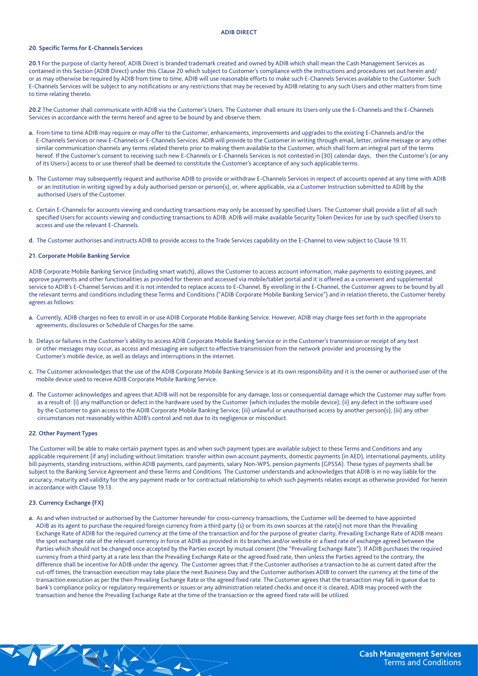## **ADIB DIRECT**

# **20. Specific Terms for E-Channels Services**

20.1 For the purpose of clarity hereof, ADIB Direct is branded trademark created and owned by ADIB which shall mean the Cash Management Services as contained in this Section (ADIB Direct) under this Clause 20 which subject to Customer's compliance with the instructions and procedures set out herein and/ or as may otherwise be required by ADIB from time to time, ADIB will use reasonable efforts to make such E-Channels Services available to the Customer. Such E-Channels Services will be subject to any notifications or any restrictions that may be received by ADIB relating to any such Users and other matters from time to time relating thereto.

20.2 The Customer shall communicate with ADIB via the Customer's Users. The Customer shall ensure its Users only use the E-Channels and the E-Channels Services in accordance with the terms hereof and agree to be bound by and observe them.

- a. From time to time ADIB may require or may offer to the Customer, enhancements, improvements and upgrades to the existing E-Channels and/or the E-Channels Services or new E-Channels or E-Channels Services. ADIB will provide to the Customer in writing through email, letter, online message or any other similar communication channels any terms related thereto prior to making them available to the Customer, which shall form an integral part of the terms hereof. If the Customer's consent to receiving such new E-Channels or E-Channels Services is not contested in (30) calendar days, then the Customer's (or any of its Users>) access to or use thereof shall be deemed to constitute the Customer's acceptance of any such applicable terms.
- b. The Customer may subsequently request and authorise ADIB to provide or withdraw E-Channels Services in respect of accounts opened at any time with ADIB or an Institution in writing signed by a duly authorised person or person(s), or, where applicable, via a Customer Instruction submitted to ADIB by the authorised Users of the Customer.
- c. Certain E-Channels for accounts viewing and conducting transactions may only be accessed by specified Users. The Customer shall provide a list of all such specified Users for accounts viewing and conducting transactions to ADIB. ADIB will make available Security Token Devices for use by such specified Users to access and use the relevant E-Channels.
- d. The Customer authorises and instructs ADIB to provide access to the Trade Services capability on the E-Channel to view subject to Clause 19.11.

### **21. Corporate Mobile Banking Service**

ADIB Corporate Mobile Banking Service (including smart watch), allows the Customer to access account information, make payments to existing payees, and approve payments and other functionalities as provided for therein and accessed via mobile/tablet portal and it is offered as a convenient and supplemental service to ADIB's E-Channel Services and it is not intended to replace access to E-Channel. By enrolling in the E-Channel, the Customer agrees to be bound by all the relevant terms and conditions including these Terms and Conditions ("ADIB Corporate Mobile Banking Service") and in relation thereto, the Customer hereby agrees as follows:

- a. Currently, ADIB charges no fees to enroll in or use ADIB Corporate Mobile Banking Service. However, ADIB may charge fees set forth in the appropriate agreements, disclosures or Schedule of Charges for the same.
- b. Delays or failures in the Customer's ability to access ADIB Corporate Mobile Banking Service or in the Customer's transmission or receipt of any text or other messages may occur, as access and messaging are subject to effective transmission from the network provider and processing by the Customer's mobile device, as well as delays and interruptions in the internet.
- c. The Customer acknowledges that the use of the ADIB Corporate Mobile Banking Service is at its own responsibility and it is the owner or authorised user of the mobile device used to receive ADIB Corporate Mobile Banking Service.
- d. The Customer acknowledges and agrees that ADIB will not be responsible for any damage, loss or consequential damage which the Customer may suffer from as a result of: (i) any malfunction or defect in the hardware used by the Customer (which includes the mobile device); (ii) any defect in the software used by the Customer to gain access to the ADIB Corporate Mobile Banking Service; (iii) unlawful or unauthorised access by another person(s); (iii) any other circumstances not reasonably within ADIB's control and not due to its negligence or misconduct.

# **22. Other Payment Types**

The Customer will be able to make certain payment types as and when such payment types are available subject to these Terms and Conditions and any applicable requirement (if any) including without limitation: transfer within own account payments, domestic payments (in AED), international payments, utility bill payments, standing instructions, within ADIB payments, card payments, salary Non-WPS, pension payments (GPSSA). These types of payments shall be subject to the Banking Service Agreement and these Terms and Conditions. The Customer understands and acknowledges that ADIB is in no way liable for the accuracy, maturity and validity for the any payment made or for contractual relationship to which such payments relates except as otherwise provided for herein in accordance with Clause 19.13.

# **23. Currency Exchange (FX)**

a. As and when instructed or authorised by the Customer hereunder for cross-currency transactions, the Customer will be deemed to have appointed ADIB as its agent to purchase the required foreign currency from a third party (s) or from its own sources at the rate(s) not more than the Prevailing Exchange Rate of ADIB for the required currency at the time of the transaction and for the purpose of greater clarity, Prevailing Exchange Rate of ADIB means the spot exchange rate of the relevant currency in force at ADIB as provided in its branches and/or website or a fixed rate of exchange agreed between the Parties which should not be changed once accepted by the Parties except by mutual consent (the "Prevailing Exchange Rate"). If ADIB purchases the required currency from a third party at a rate less than the Prevailing Exchange Rate or the agreed fixed rate, then unless the Parties agreed to the contrary, the difference shall be incentive for ADIB under the agency. The Customer agrees that if the Customer authorises a transaction to be as current dated after the cut-off times, the transaction execution may take place the next Business Day and the Customer authorises ADIB to convert the currency at the time of the transaction execution as per the then Prevailing Exchange Rate or the agreed fixed rate. The Customer agrees that the transaction may fall in queue due to bank's compliance policy or regulatory requirements or issues or any administration related checks and once it is cleared, ADIB may proceed with the transaction and hence the Prevailing Exchange Rate at the time of the transaction or the agreed fixed rate will be utilized.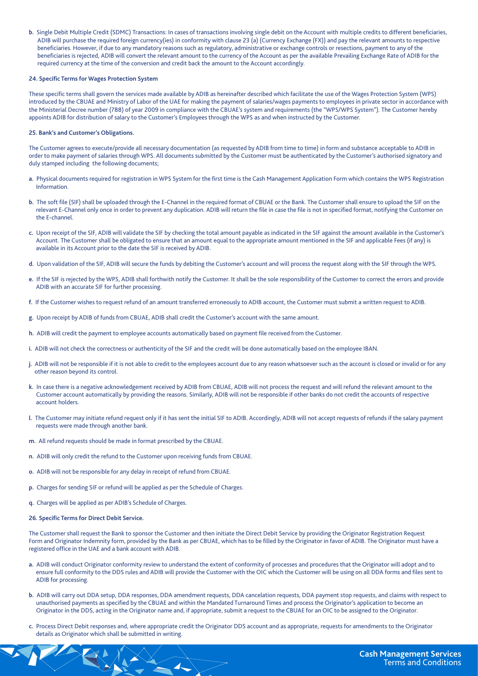b. Single Debit Multiple Credit (SDMC) Transactions: In cases of transactions involving single debit on the Account with multiple credits to different beneficiaries, ADIB will purchase the required foreign currency(ies) in conformity with clause 23 (a) (Currency Exchange (FX)) and pay the relevant amounts to respective beneficiaries. However, if due to any mandatory reasons such as regulatory, administrative or exchange controls or resections, payment to any of the beneficiaries is rejected, ADIB will convert the relevant amount to the currency of the Account as per the available Prevailing Exchange Rate of ADIB for the required currency at the time of the conversion and credit back the amount to the Account accordingly.

# **24. Specific Terms for Wages Protection System**

These specific terms shall govern the services made available by ADIB as hereinafter described which facilitate the use of the Wages Protection System (WPS) introduced by the CBUAE and Ministry of Labor of the UAE for making the payment of salaries/wages payments to employees in private sector in accordance with the Ministerial Decree number (788) of year 2009 in compliance with the CBUAE's system and requirements (the "WPS/WPS System"). The Customer hereby appoints ADIB for distribution of salary to the Customer's Employees through the WPS as and when instructed by the Customer.

# **25. Bank's and Customer's Obligations.**

The Customer agrees to execute/provide all necessary documentation (as requested by ADIB from time to time) in form and substance acceptable to ADIB in order to make payment of salaries through WPS. All documents submitted by the Customer must be authenticated by the Customer's authorised signatory and duly stamped including the following documents;

- a. Physical documents required for registration in WPS System for the first time is the Cash Management Application Form which contains the WPS Registration .Information
- b. The soft file (SIF) shall be uploaded through the E-Channel in the required format of CBUAE or the Bank. The Customer shall ensure to upload the SIF on the relevant E-Channel only once in order to prevent any duplication. ADIB will return the file in case the file is not in specified format, notifying the Customer on the F-channel
- c. Upon receipt of the SIF, ADIB will validate the SIF by checking the total amount payable as indicated in the SIF against the amount available in the Customer's Account. The Customer shall be obligated to ensure that an amount equal to the appropriate amount mentioned in the SIF and applicable Fees (if any) is available in its Account prior to the date the SIF is received by ADIB.
- d. Upon validation of the SIF, ADIB will secure the funds by debiting the Customer's account and will process the request along with the SIF through the WPS.
- e. If the SIF is rejected by the WPS, ADIB shall forthwith notify the Customer. It shall be the sole responsibility of the Customer to correct the errors and provide ADIB with an accurate SIF for further processing.
- f. If the Customer wishes to request refund of an amount transferred erroneously to ADIB account, the Customer must submit a written request to ADIB.
- g. Upon receipt by ADIB of funds from CBUAE, ADIB shall credit the Customer's account with the same amount.
- h. ADIB will credit the payment to employee accounts automatically based on payment file received from the Customer.
- i. ADIB will not check the correctness or authenticity of the SIF and the credit will be done automatically based on the employee IBAN.
- j. ADIB will not be responsible if it is not able to credit to the employees account due to any reason whatsoever such as the account is closed or invalid or for any other reason beyond its control.
- k. In case there is a negative acknowledgement received by ADIB from CBUAE, ADIB will not process the request and will refund the relevant amount to the Customer account automatically by providing the reasons. Similarly, ADIB will not be responsible if other banks do not credit the accounts of respective account holders.
- l. The Customer may initiate refund request only if it has sent the initial SIF to ADIB. Accordingly, ADIB will not accept requests of refunds if the salary payment requests were made through another bank.
- m. All refund requests should be made in format prescribed by the CBUAE.
- n. ADIB will only credit the refund to the Customer upon receiving funds from CBUAE.
- o. ADIB will not be responsible for any delay in receipt of refund from CBUAE.
- p. Charges for sending SIF or refund will be applied as per the Schedule of Charges.
- q. Charges will be applied as per ADIB's Schedule of Charges.
- **26. Specific Terms for Direct Debit Service.**

The Customer shall request the Bank to sponsor the Customer and then initiate the Direct Debit Service by providing the Originator Registration Request Form and Originator Indemnity form, provided by the Bank as per CBUAE, which has to be filled by the Originator in favor of ADIB. The Originator must have a registered office in the UAE and a bank account with ADIB.

- a. ADIB will conduct Originator conformity review to understand the extent of conformity of processes and procedures that the Originator will adopt and to ensure full conformity to the DDS rules and ADIB will provide the Customer with the OIC which the Customer will be using on all DDA forms and files sent to ADIB for processing
- b. ADIB will carry out DDA setup. DDA responses. DDA amendment requests. DDA cancelation requests. DDA payment stop requests, and claims with respect to unauthorised payments as specified by the CBUAE and within the Mandated Turnaround Times and process the Originator's application to become an Originator in the DDS, acting in the Originator name and, if appropriate, submit a request to the CBUAE for an OIC to be assigned to the Originator.
- c. Process Direct Debit responses and, where appropriate credit the Originator DDS account and as appropriate, requests for amendments to the Originator details as Originator which shall be submitted in writing.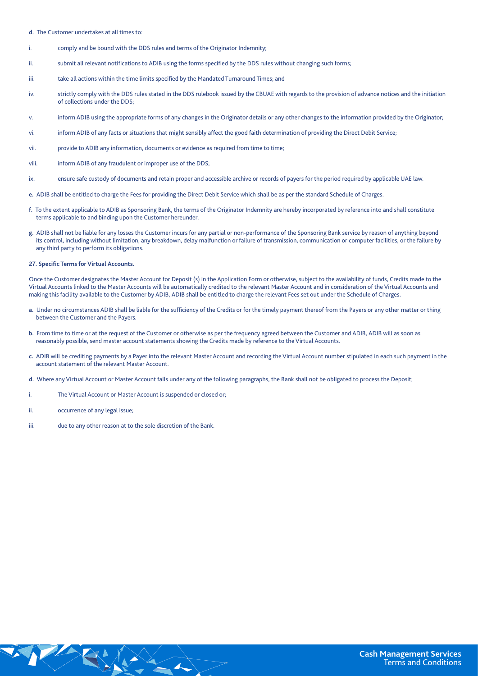d. The Customer undertakes at all times to:

- i. comply and be bound with the DDS rules and terms of the Originator Indemnity;
- ii. submit all relevant notifications to ADIB using the forms specified by the DDS rules without changing such forms;
- iii. take all actions within the time limits specified by the Mandated Turnaround Times; and
- iv. strictly comply with the DDS rules stated in the DDS rulebook issued by the CBUAE with regards to the provision of advance notices and the initiation of collections under the DDS:
- v. inform ADIB using the appropriate forms of any changes in the Originator details or any other changes to the information provided by the Originator;
- vi. inform ADIB of any facts or situations that might sensibly affect the good faith determination of providing the Direct Debit Service;
- vii. provide to ADIB any information, documents or evidence as required from time to time;
- viii. inform ADIB of any fraudulent or improper use of the DDS;
- ix. ensure safe custody of documents and retain proper and accessible archive or records of payers for the period required by applicable UAE law.
- e. ADIB shall be entitled to charge the Fees for providing the Direct Debit Service which shall be as per the standard Schedule of Charges.
- f. To the extent applicable to ADIB as Sponsoring Bank, the terms of the Originator Indemnity are hereby incorporated by reference into and shall constitute terms applicable to and binding upon the Customer hereunder.
- g. ADIB shall not be liable for any losses the Customer incurs for any partial or non-performance of the Sponsoring Bank service by reason of anything beyond its control, including without limitation, any breakdown, delay malfunction or failure of transmission, communication or computer facilities, or the failure by any third party to perform its obligations.

## **27. Specific Terms for Virtual Accounts.**

Once the Customer designates the Master Account for Deposit (s) in the Application Form or otherwise, subject to the availability of funds, Credits made to the Virtual Accounts linked to the Master Accounts will be automatically credited to the relevant Master Account and in consideration of the Virtual Accounts and making this facility available to the Customer by ADIB, ADIB shall be entitled to charge the relevant Fees set out under the Schedule of Charges.

- a. Under no circumstances ADIB shall be liable for the sufficiency of the Credits or for the timely payment thereof from the Payers or any other matter or thing between the Customer and the Payers.
- b. From time to time or at the request of the Customer or otherwise as per the frequency agreed between the Customer and ADIB, ADIB will as soon as reasonably possible, send master account statements showing the Credits made by reference to the Virtual Accounts.
- c. ADIB will be crediting payments by a Payer into the relevant Master Account and recording the Virtual Account number stipulated in each such payment in the account statement of the relevant Master Account.

d. Where any Virtual Account or Master Account falls under any of the following paragraphs, the Bank shall not be obligated to process the Deposit;

- i. The Virtual Account or Master Account is suspended or closed or:
- ii. occurrence of any legal issue;
- iii. due to any other reason at to the sole discretion of the Bank.

SY AX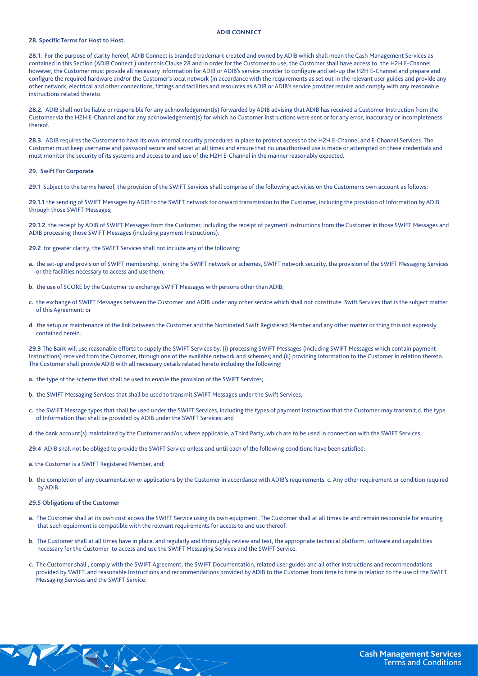# **ADIB CONNECT**

# **28. Specific Terms for Host to Host.**

28.1. For the purpose of clarity hereof, ADIB Connect is branded trademark created and owned by ADIB which shall mean the Cash Management Services as contained in this Section (ADIB Connect) under this Clause 28 and in order for the Customer to use, the Customer shall have access to the H2H E-Channel however, the Customer must provide all necessary information for ADIB or ADIB's service provider to configure and set-up the H2H E-Channel and prepare and configure the required hardware and/or the Customer's local network (in accordance with the requirements as set out in the relevant user guides and provide any other network, electrical and other connections, fittings and facilities and resources as ADIB or ADIB's service provider require and comply with any reasonable instructions related thereto.

28.2. ADIB shall not be liable or responsible for any acknowledgement(s) forwarded by ADIB advising that ADIB has received a Customer Instruction from the Customer via the H2H E-Channel and for any acknowledgement(s) for which no Customer Instructions were sent or for any error, inaccuracy or incompleteness .thereof

28.3. ADIB requires the Customer to have its own internal security procedures in place to protect access to the H2H E-Channel and E-Channel Services. The Customer must keep username and password secure and secret at all times and ensure that no unauthorised use is made or attempted on these credentials and must monitor the security of its systems and access to and use of the H2H E-Channel in the manner reasonably expected.

# **29. Swift For Corporate**

29.1 Subject to the terms hereof, the provision of the SWIFT Services shall comprise of the following activities on the Customer>s own account as follows:

29.1.1 the sending of SWIFT Messages by ADIB to the SWIFT network for onward transmission to the Customer, including the provision of Information by ADIB through those SWIFT Messages;

29.1.2 the receipt by ADIB of SWIFT Messages from the Customer, including the receipt of payment Instructions from the Customer in those SWIFT Messages and ADIB processing those SWIFT Messages (including payment Instructions).

29.2 for greater clarity, the SWIFT Services shall not include any of the following:

- a. the set-up and provision of SWIFT membership, joining the SWIFT network or schemes, SWIFT network security, the provision of the SWIFT Messaging Services or the facilities necessary to access and use them;
- b. the use of SCORE by the Customer to exchange SWIFT Messages with persons other than ADIB;
- c. the exchange of SWIFT Messages between the Customer and ADIB under any other service which shall not constitute Swift Services that is the subject matter of this Agreement; or
- d. the setup or maintenance of the link between the Customer and the Nominated Swift Registered Member and any other matter or thing this not expressly contained herein.

29.3 The Bank will use reasonable efforts to supply the SWIFT Services by: (i) processing SWIFT Messages (including SWIFT Messages which contain payment Instructions) received from the Customer, through one of the available network and schemes; and (ii) providing Information to the Customer in relation thereto. The Customer shall provide ADIB with all necessary details related hereto including the following:

- a. the type of the scheme that shall be used to enable the provision of the SWIFT Services;
- b. the SWIFT Messaging Services that shall be used to transmit SWIFT Messages under the Swift Services;
- c. the SWIFT Message types that shall be used under the SWIFT Services, including the types of payment Instruction that the Customer may transmit;d. the type of Information that shall be provided by ADIB under the SWIFT Services; and
- d. the bank account(s) maintained by the Customer and/or, where applicable, a Third Party, which are to be used in connection with the SWIFT Services.
- 29.4 ADIB shall not be obliged to provide the SWIFT Service unless and until each of the following conditions have been satisfied:
- a. the Customer is a SWIFT Registered Member, and;

**EXAMPLE** 

b. the completion of any documentation or applications by the Customer in accordance with ADIB's requirements. c. Any other requirement or condition required by ADIB.

#### **29.5 Obligations of the Customer**

- a. The Customer shall at its own cost access the SWIFT Service using its own equipment. The Customer shall at all times be and remain responsible for ensuring that such equipment is compatible with the relevant requirements for access to and use thereof.
- b. The Customer shall at all times have in place, and regularly and thoroughly review and test, the appropriate technical platform, software and capabilities necessary for the Customer to access and use the SWIFT Messaging Services and the SWIFT Service
- c. The Customer shall , comply with the SWIFT Agreement, the SWIFT Documentation, related user guides and all other Instructions and recommendations provided by SWIFT, and reasonable Instructions and recommendations provided by ADIB to the Customer from time to time in relation to the use of the SWIFT Messaging Services and the SWIFT Service.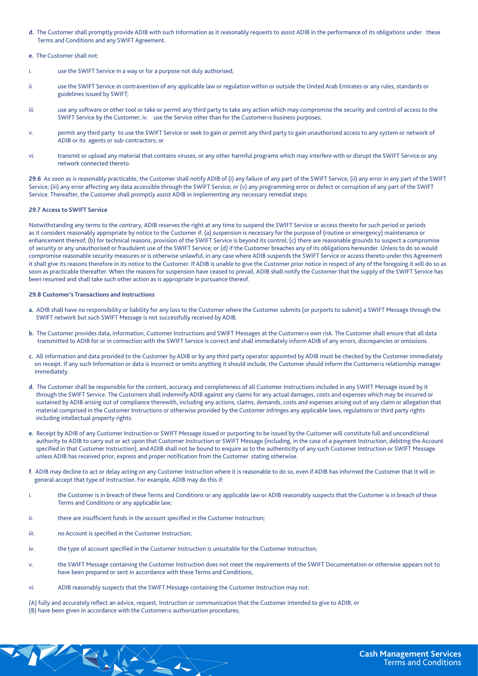- d. The Customer shall promptly provide ADIB with such Information as it reasonably requests to assist ADIB in the performance of its obligations under these Terms and Conditions and any SWIFT Agreement.
- e. The Customer shall not:
- i. use the SWIFT Service in a way or for a purpose not duly authorised;
- ii. use the SWIFT Service in contravention of any applicable law or regulation within or outside the United Arab Emirates or any rules, standards or guidelines issued by SWIFT;
- iii. use any software or other tool or take or permit any third party to take any action which may compromise the security and control of access to the SWIFT Service by the Customer; iv. use the Service other than for the Customer is business purposes;
- permit any third party to use the SWIFT Service or seek to gain or permit any third party to gain unauthorised access to any system or network of ADIB or its agents or sub-contractors; or
- vi. transmit or upload any material that contains viruses, or any other harmful programs which may interfere with or disrupt the SWIFT Service or any network connected thereto.

29.6 As soon as is reasonably practicable, the Customer shall notify ADIB of (i) any failure of any part of the SWIFT Service; (ii) any error in any part of the SWIFT Service; (iii) any error affecting any data accessible through the SWIFT Service; or (v) any programming error or defect or corruption of any part of the SWIFT Service. Thereafter, the Customer shall promptly assist ADIB in implementing any necessary remedial steps.

# **29.7 Access to SWIFT Service**

Notwithstanding any terms to the contrary, ADIB reserves the right at any time to suspend the SWIFT Service or access thereto for such period or periods as it considers reasonably appropriate by notice to the Customer if: (a) suspension is necessary for the purpose of (routine or emergency) maintenance or enhancement thereof; (b) for technical reasons, provision of the SWIFT Service is beyond its control; (c) there are reasonable grounds to suspect a compromise of security or any unauthorised or fraudulent use of the SWIFT Service; or (d) if the Customer breaches any of its obligations hereunder. Unless to do so would compromise reasonable security measures or is otherwise unlawful, in any case where ADIB suspends the SWIFT Service or access thereto under this Agreement it shall give its reasons therefore in its notice to the Customer. If ADIB is unable to give the Customer prior notice in respect of any of the foregoing it will do so as soon as practicable thereafter. When the reasons for suspension have ceased to prevail, ADIB shall notify the Customer that the supply of the SWIFT Service has been resumed and shall take such other action as is appropriate in pursuance thereof.

# **29.8 Customer's Transactions and Instructions**

- a. ADIB shall have no responsibility or liability for any loss to the Customer where the Customer submits (or purports to submit) a SWIFT Message through the SWIFT network but such SWIFT Message is not successfully received by ADIB.
- b. The Customer provides data, information, Customer Instructions and SWIFT Messages at the Customer sown risk. The Customer shall ensure that all data transmitted to ADIB for or in connection with the SWIFT Service is correct and shall immediately inform ADIB of any errors, discrepancies or omissions.
- c. All information and data provided to the Customer by ADIB or by any third party operator appointed by ADIB must be checked by the Customer immediately on receipt. If any such Information or data is incorrect or omits anything it should include, the Customer should inform the Customer s relationship manager immediately.
- d. The Customer shall be responsible for the content, accuracy and completeness of all Customer Instructions included in any SWIFT Message issued by it through the SWIFT Service. The Customers shall indemnify ADIB against any claims for any actual damages, costs and expenses which may be incurred or sustained by ADIB arising out of compliance therewith, including any actions, claims, demands, costs and expenses arising out of any claim or allegation that material comprised in the Customer Instructions or otherwise provided by the Customer infringes any applicable laws, regulations or third party rights including intellectual property rights.
- e. Receipt by ADIB of any Customer Instruction or SWIFT Message issued or purporting to be issued by the Customer will constitute full and unconditional authority to ADIB to carry out or act upon that Customer Instruction or SWIFT Message (including, in the case of a payment Instruction, debiting the Account specified in that Customer Instruction), and ADIB shall not be bound to enquire as to the authenticity of any such Customer Instruction or SWIFT Message unless ADIB has received prior, express and proper notification from the Customer stating otherwise.
- f. ADIB may decline to act or delay acting on any Customer Instruction where it is reasonable to do so, even if ADIB has informed the Customer that it will in general accept that type of Instruction. For example, ADIB may do this if:
- i. the Customer is in breach of these Terms and Conditions or any applicable law or ADIB reasonably suspects that the Customer is in breach of these Terms and Conditions or any applicable law;
- ii. there are insufficient funds in the account specified in the Customer Instruction;
- iii. The Account is specified in the Customer Instruction;

 $\left\langle \left\langle \cdot \right\rangle \right\rangle _{0}$ 

- iv. the type of account specified in the Customer Instruction is unsuitable for the Customer Instruction;
- v. the SWIFT Message containing the Customer Instruction does not meet the requirements of the SWIFT Documentation or otherwise appears not to have been prepared or sent in accordance with these Terms and Conditions;
- vi. ADIB reasonably suspects that the SWIFT Message containing the Customer Instruction may not:
- (A) fully and accurately reflect an advice, request, Instruction or communication that the Customer intended to give to ADIB; or  $($ B $)$  have been given in accordance with the Customer authorization procedures;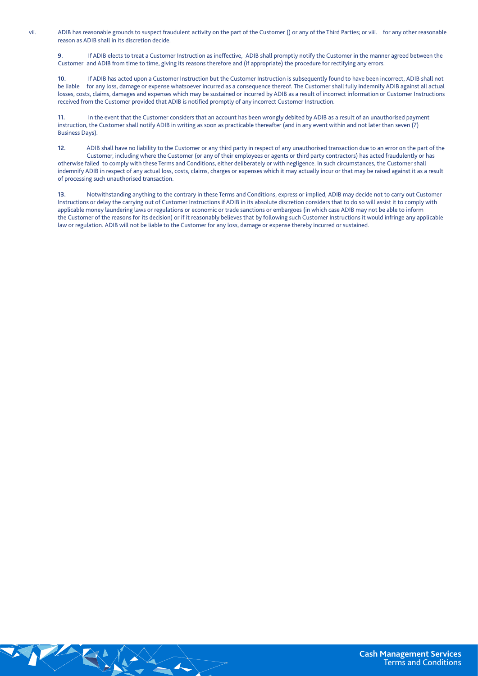vii. ADIB has reasonable grounds to suspect fraudulent activity on the part of the Customer () or any of the Third Parties; or viii. for any other reasonable reason as ADIB shall in its discretion decide.

9. If ADIB elects to treat a Customer Instruction as ineffective, ADIB shall promptly notify the Customer in the manner agreed between the Customer and ADIB from time to time, giving its reasons therefore and (if appropriate) the procedure for rectifying any errors.

10. If ADIB has acted upon a Customer Instruction but the Customer Instruction is subsequently found to have been incorrect, ADIB shall not be liable for any loss, damage or expense whatsoever incurred as a consequence thereof. The Customer shall fully indemnify ADIB against all actual losses, costs, claims, damages and expenses which may be sustained or incurred by ADIB as a result of incorrect information or Customer Instructions received from the Customer provided that ADIB is notified promptly of any incorrect Customer Instruction.

11. In the event that the Customer considers that an account has been wrongly debited by ADIB as a result of an unauthorised payment instruction, the Customer shall notify ADIB in writing as soon as practicable thereafter (and in any event within and not later than seven (7) Business Days).

12. ADIB shall have no liability to the Customer or any third party in respect of any unauthorised transaction due to an error on the part of the Customer, including where the Customer (or any of their employees or agents or third party contractors) has acted fraudulently or has otherwise failed to comply with these Terms and Conditions, either deliberately or with negligence. In such circumstances, the Customer shall indemnify ADIB in respect of any actual loss, costs, claims, charges or expenses which it may actually incur or that may be raised against it as a result of processing such unauthorised transaction.

13. Notwithstanding anything to the contrary in these Terms and Conditions, express or implied, ADIB may decide not to carry out Customer Instructions or delay the carrying out of Customer Instructions if ADIB in its absolute discretion considers that to do so will assist it to comply with applicable money laundering laws or regulations or economic or trade sanctions or embargoes (in which case ADIB may not be able to inform the Customer of the reasons for its decision) or if it reasonably believes that by following such Customer Instructions it would infringe any applicable law or regulation. ADIB will not be liable to the Customer for any loss, damage or expense thereby incurred or sustained.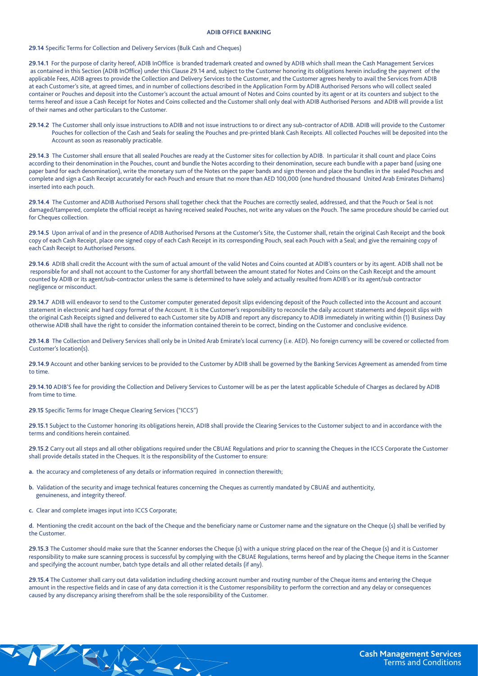## **ADIB OFFICE BANKING**

# 29.14 Specific Terms for Collection and Delivery Services (Bulk Cash and Cheques)

29.14.1 For the purpose of clarity hereof, ADIB InOffice is branded trademark created and owned by ADIB which shall mean the Cash Management Services as contained in this Section (ADIB InOffice) under this Clause 29.14 and, subject to the Customer honoring its obligations herein including the payment of the applicable Fees, ADIB agrees to provide the Collection and Delivery Services to the Customer, and the Customer agrees hereby to avail the Services from ADIB at each Customer's site, at agreed times, and in number of collections described in the Application Form by ADIB Authorised Persons who will collect sealed container or Pouches and deposit into the Customer's account the actual amount of Notes and Coins counted by its agent or at its counters and subject to the terms hereof and issue a Cash Receipt for Notes and Coins collected and the Customer shall only deal with ADIB Authorised Persons and ADIB will provide a list of their names and other particulars to the Customer.

29.14.2 The Customer shall only issue instructions to ADIB and not issue instructions to or direct any sub-contractor of ADIB. ADIB will provide to the Customer Pouches for collection of the Cash and Seals for sealing the Pouches and pre-printed blank Cash Receipts. All collected Pouches will be deposited into the Account as soon as reasonably practicable.

29.14.3 The Customer shall ensure that all sealed Pouches are ready at the Customer sites for collection by ADIB. In particular it shall count and place Coins according to their denomination in the Pouches, count and bundle the Notes according to their denomination, secure each bundle with a paper band (using one paper band for each denomination), write the monetary sum of the Notes on the paper bands and sign thereon and place the bundles in the sealed Pouches and complete and sign a Cash Receipt accurately for each Pouch and ensure that no more than AED 100,000 (one hundred thousand United Arab Emirates Dirhams) inserted into each pouch.

29.14.4 The Customer and ADIB Authorised Persons shall together check that the Pouches are correctly sealed, addressed, and that the Pouch or Seal is not damaged/tampered, complete the official receipt as having received sealed Pouches, not write any values on the Pouch. The same procedure should be carried out for Cheques collection.

29.14.5 Upon arrival of and in the presence of ADIB Authorised Persons at the Customer's Site, the Customer shall, retain the original Cash Receipt and the book copy of each Cash Receipt, place one signed copy of each Cash Receipt in its corresponding Pouch, seal each Pouch with a Seal; and give the remaining copy of each Cash Receipt to Authorised Persons.

29.14.6 ADIB shall credit the Account with the sum of actual amount of the valid Notes and Coins counted at ADIB's counters or by its agent. ADIB shall not be responsible for and shall not account to the Customer for any shortfall between the amount stated for Notes and Coins on the Cash Receipt and the amount counted by ADIB or its agent/sub-contractor unless the same is determined to have solely and actually resulted from ADIB's or its agent/sub contractor negligence or misconduct.

29.14.7 ADIB will endeavor to send to the Customer computer generated deposit slips evidencing deposit of the Pouch collected into the Account and account statement in electronic and hard copy format of the Account. It is the Customer's responsibility to reconcile the daily account statements and deposit slips with the original Cash Receipts signed and delivered to each Customer site by ADIB and report any discrepancy to ADIB immediately in writing within (1) Business Day otherwise ADIB shall have the right to consider the information contained therein to be correct, binding on the Customer and conclusive evidence.

29.14.8 The Collection and Delivery Services shall only be in United Arab Emirate's local currency (i.e. AED). No foreign currency will be covered or collected from Customer's location(s).

29.14.9 Account and other banking services to be provided to the Customer by ADIB shall be governed by the Banking Services Agreement as amended from time to time.

29.14.10 ADIB'S fee for providing the Collection and Delivery Services to Customer will be as per the latest applicable Schedule of Charges as declared by ADIB from time to time.

**29.15 Specific Terms for Image Cheque Clearing Services ("ICCS")** 

29.15.1 Subject to the Customer honoring its obligations herein, ADIB shall provide the Clearing Services to the Customer subject to and in accordance with the terms and conditions herein contained.

29.15.2 Carry out all steps and all other obligations required under the CBUAE Regulations and prior to scanning the Cheques in the ICCS Corporate the Customer shall provide details stated in the Cheques. It is the responsibility of the Customer to ensure:

- a. the accuracy and completeness of any details or information required in connection therewith;
- b. Validation of the security and image technical features concerning the Cheques as currently mandated by CBUAE and authenticity, genuineness, and integrity thereof.
- c. Clear and complete images input into ICCS Corporate;

d. Mentioning the credit account on the back of the Cheque and the beneficiary name or Customer name and the signature on the Cheque (s) shall be verified by the Customer

29.15.3 The Customer should make sure that the Scanner endorses the Cheque (s) with a unique string placed on the rear of the Cheque (s) and it is Customer responsibility to make sure scanning process is successful by complying with the CBUAE Regulations, terms hereof and by placing the Cheque items in the Scanner and specifying the account number, batch type details and all other related details (if any).

29.15.4 The Customer shall carry out data validation including checking account number and routing number of the Cheque items and entering the Cheque amount in the respective fields and in case of any data correction it is the Customer responsibility to perform the correction and any delay or consequences caused by any discrepancy arising therefrom shall be the sole responsibility of the Customer.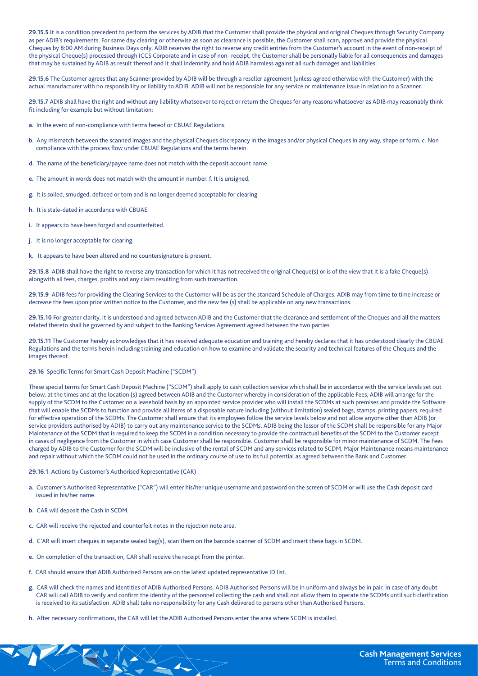29.15.5 It is a condition precedent to perform the services by ADIB that the Customer shall provide the physical and original Cheques through Security Company as per ADIB's requirements. For same day clearing or otherwise as soon as clearance is possible, the Customer shall scan, approve and provide the physical Cheques by 8:00 AM during Business Days only. ADIB reserves the right to reverse any credit entries from the Customer's account in the event of non-receipt of the physical Cheque(s) processed through ICCS Corporate and in case of non- receipt, the Customer shall be personally liable for all consequences and damages that may be sustained by ADIB as result thereof and it shall indemnify and hold ADIB harmless against all such damages and liabilities.

29.15.6 The Customer agrees that any Scanner provided by ADIB will be through a reseller agreement (unless agreed otherwise with the Customer) with the actual manufacturer with no responsibility or liability to ADIB. ADIB will not be responsible for any service or maintenance issue in relation to a Scanner.

29.15.7 ADIB shall have the right and without any liability whatsoever to reject or return the Cheques for any reasons whatsoever as ADIB may reasonably think fit including for example but without limitation:

- a. In the event of non-compliance with terms hereof or CBUAE Regulations.
- b. Any mismatch between the scanned images and the physical Cheques discrepancy in the images and/or physical Cheques in any way, shape or form. c. Non compliance with the process flow under CBUAE Regulations and the terms herein.
- d. The name of the beneficiary/payee name does not match with the deposit account name.
- e. The amount in words does not match with the amount in number. f. It is unsigned.
- g. It is soiled, smudged, defaced or torn and is no longer deemed acceptable for clearing.
- h. It is stale-dated in accordance with CBUAE.
- i. It appears to have been forged and counterfeited.
- j. It is no longer acceptable for clearing.
- k. It appears to have been altered and no countersignature is present.

29.15.8 ADIB shall have the right to reverse any transaction for which it has not received the original Cheque(s) or is of the view that it is a fake Cheque(s) alongwith all fees, charges, profits and any claim resulting from such transaction.

29.15.9 ADIB fees for providing the Clearing Services to the Customer will be as per the standard Schedule of Charges. ADIB may from time to time increase or decrease the fees upon prior written notice to the Customer, and the new fee (s) shall be applicable on any new transactions.

29.15.10 For greater clarity, it is understood and agreed between ADIB and the Customer that the clearance and settlement of the Cheques and all the matters related thereto shall be governed by and subject to the Banking Services Agreement agreed between the two parties.

29.15.11 The Customer hereby acknowledges that it has received adequate education and training and hereby declares that it has understood clearly the CBUAE Regulations and the terms herein including training and education on how to examine and validate the security and technical features of the Cheques and the images thereof.

# **29.16 Specific Terms for Smart Cash Deposit Machine ("SCDM")**

These special terms for Smart Cash Deposit Machine ("SCDM") shall apply to cash collection service which shall be in accordance with the service levels set out below, at the times and at the location (s) agreed between ADIB and the Customer whereby in consideration of the applicable Fees, ADIB will arrange for the supply of the SCDM to the Customer on a leasehold basis by an appointed service provider who will install the SCDMs at such premises and provide the Software that will enable the SCDMs to function and provide all items of a disposable nature including (without limitation) sealed bags, stamps, printing papers, required for effective operation of the SCDMs. The Customer shall ensure that its employees follow the service levels below and not allow anyone other than ADIB (or service providers authorised by ADIB) to carry out any maintenance service to the SCDMs. ADIB being the lessor of the SCDM shall be responsible for any Major Maintenance of the SCDM that is required to keep the SCDM in a condition necessary to provide the contractual benefits of the SCDM to the Customer except in cases of negligence from the Customer in which case Customer shall be responsible. Customer shall be responsible for minor maintenance of SCDM. The Fees charged by ADIB to the Customer for the SCDM will be inclusive of the rental of SCDM and any services related to SCDM. Major Maintenance means maintenance and repair without which the SCDM could not be used in the ordinary course of use to its full potential as agreed between the Bank and Customer.

# 29.16.1 Actions by Customer's Authorised Representative (CAR)

- a. Customer's Authorised Representative ("CAR") will enter his/her unique username and password on the screen of SCDM or will use the Cash deposit card issued in his/her name.
- **b.** CAR will deposit the Cash in SCDM.

**RANGE** 

- c. CAR will receive the rejected and counterfeit notes in the rejection note area.
- d. C`AR will insert cheques in separate sealed bag(s), scan them on the barcode scanner of SCDM and insert these bags in SCDM.
- e. On completion of the transaction, CAR shall receive the receipt from the printer.
- f. CAR should ensure that ADIB Authorised Persons are on the latest updated representative ID list.
- g. CAR will check the names and identities of ADIB Authorised Persons. ADIB Authorised Persons will be in uniform and always be in pair. In case of any doubt CAR will call ADIB to verify and confirm the identity of the personnel collecting the cash and shall not allow them to operate the SCDMs until such clarification is received to its satisfaction. ADIB shall take no responsibility for any Cash delivered to persons other than Authorised Persons.
- h. After necessary confirmations, the CAR will let the ADIB Authorised Persons enter the area where SCDM is installed.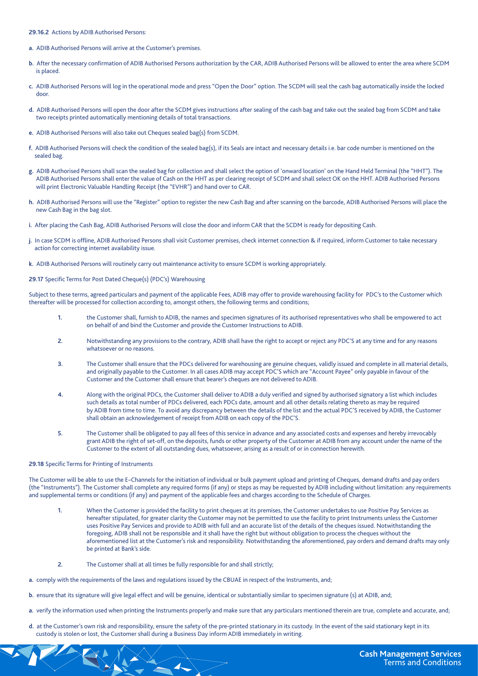29.16.2 Actions by ADIB Authorised Persons:

- a. ADIB Authorised Persons will arrive at the Customer's premises.
- b. After the necessary confirmation of ADIB Authorised Persons authorization by the CAR, ADIB Authorised Persons will be allowed to enter the area where SCDM is placed.
- c. ADIB Authorised Persons will log in the operational mode and press "Open the Door" option. The SCDM will seal the cash bag automatically inside the locked .door
- d. ADIB Authorised Persons will open the door after the SCDM gives instructions after sealing of the cash bag and take out the sealed bag from SCDM and take two receipts printed automatically mentioning details of total transactions.
- e. ADIB Authorised Persons will also take out Cheques sealed bag(s) from SCDM.
- f. ADIB Authorised Persons will check the condition of the sealed bag(s), if its Seals are intact and necessary details i.e. bar code number is mentioned on the sealed bag.
- g. ADIB Authorised Persons shall scan the sealed bag for collection and shall select the option of 'onward location' on the Hand Held Terminal (the "HHT"). The ADIB Authorised Persons shall enter the value of Cash on the HHT as per clearing receipt of SCDM and shall select OK on the HHT. ADIB Authorised Persons will print Electronic Valuable Handling Receipt (the "EVHR") and hand over to CAR.
- h. ADIB Authorised Persons will use the "Register" option to register the new Cash Bag and after scanning on the barcode, ADIB Authorised Persons will place the new Cash Bag in the bag slot.
- i. After placing the Cash Bag, ADIB Authorised Persons will close the door and inform CAR that the SCDM is ready for depositing Cash.
- j. In case SCDM is offline, ADIB Authorised Persons shall visit Customer premises, check internet connection & if required, inform Customer to take necessary action for correcting internet availability issue.
- k. ADIB Authorised Persons will routinely carry out maintenance activity to ensure SCDM is working appropriately.

29.17 Specific Terms for Post Dated Cheque(s) (PDC's) Warehousing

Subject to these terms, agreed particulars and payment of the applicable Fees, ADIB may offer to provide warehousing facility for PDC's to the Customer which thereafter will be processed for collection according to, amongst others, the following terms and conditions;

- 1. The Customer shall, furnish to ADIB, the names and specimen signatures of its authorised representatives who shall be empowered to act on behalf of and bind the Customer and provide the Customer Instructions to ADIB.
- 2. Notwithstanding any provisions to the contrary, ADIB shall have the right to accept or reject any PDC'S at any time and for any reasons whatsoever or no reasons.
- 3. The Customer shall ensure that the PDCs delivered for warehousing are genuine cheques, validly issued and complete in all material details, and originally payable to the Customer. In all cases ADIB may accept PDC'S which are "Account Payee" only payable in favour of the Customer and the Customer shall ensure that bearer's cheques are not delivered to ADIB.
- 4. Along with the original PDCs, the Customer shall deliver to ADIB a duly verified and signed by authorised signatory a list which includes such details as total number of PDCs delivered, each PDCs date, amount and all other details relating thereto as may be required by ADIB from time to time. To avoid any discrepancy between the details of the list and the actual PDC'S received by ADIB, the Customer shall obtain an acknowledgement of receipt from ADIB on each copy of the PDC'S.
- 5. The Customer shall be obligated to pay all fees of this service in advance and any associated costs and expenses and hereby irrevocably grant ADIB the right of set-off, on the deposits, funds or other property of the Customer at ADIB from any account under the name of the Customer to the extent of all outstanding dues, whatsoever, arising as a result of or in connection herewith.

# 29.18 Specific Terms for Printing of Instruments

The Customer will be able to use the E-Channels for the initiation of individual or bulk payment upload and printing of Cheques, demand drafts and pay orders (the "Instruments"). The Customer shall complete any required forms (if any) or steps as may be requested by ADIB including without limitation: any requirements and supplemental terms or conditions (if any) and payment of the applicable fees and charges according to the Schedule of Charges.

- 1. When the Customer is provided the facility to print cheques at its premises, the Customer undertakes to use Positive Pay Services as hereafter stipulated, for greater clarity the Customer may not be permitted to use the facility to print Instruments unless the Customer uses Positive Pay Services and provide to ADIB with full and an accurate list of the details of the cheques issued. Notwithstanding the foregoing, ADIB shall not be responsible and it shall have the right but without obligation to process the cheques without the aforementioned list at the Customer's risk and responsibility. Notwithstanding the aforementioned, pay orders and demand drafts may only be printed at Bank's side.
- 2. The Customer shall at all times be fully responsible for and shall strictly;
- a. comply with the requirements of the laws and regulations issued by the CBUAE in respect of the Instruments, and;
- b. ensure that its signature will give legal effect and will be genuine, identical or substantially similar to specimen signature (s) at ADIB, and:
- a. verify the information used when printing the Instruments properly and make sure that any particulars mentioned therein are true, complete and accurate, and;
- d. at the Customer's own risk and responsibility, ensure the safety of the pre-printed stationary in its custody. In the event of the said stationary kept in its custody is stolen or lost, the Customer shall during a Business Day inform ADIB immediately in writing.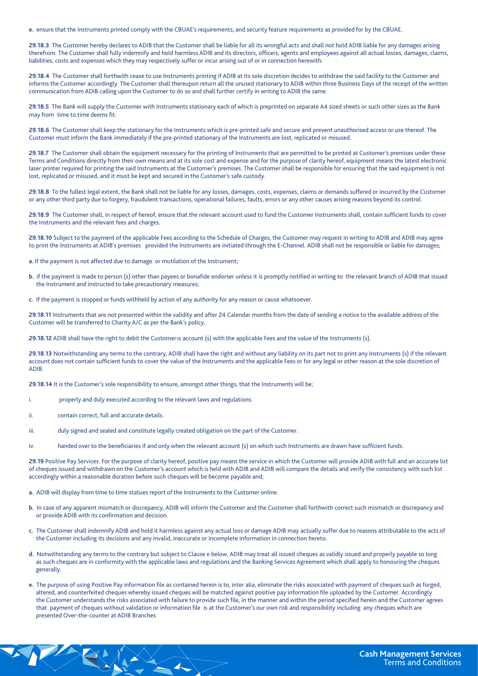e. ensure that the Instruments printed comply with the CBUAE's requirements, and security feature requirements as provided for by the CBUAE.

29.18.3 The Customer hereby declares to ADIB that the Customer shall be liable for all its wrongful acts and shall not hold ADIB liable for any damages arising therefrom. The Customer shall fully indemnify and hold harmless ADIB and its directors, officers, agents and employees against all actual losses, damages, claims, liabilities, costs and expenses which they may respectively suffer or incur arising out of or in connection herewith.

29.18.4 The Customer shall forthwith cease to use Instruments printing if ADIB at its sole discretion decides to withdraw the said facility to the Customer and informs the Customer accordingly. The Customer shall thereupon return all the unused stationary to ADIB within three Business Days of the receipt of the written communication from ADIB calling upon the Customer to do so and shall further certify in writing to ADIB the same.

29.18.5 The Bank will supply the Customer with Instruments stationary each of which is preprinted on separate A4 sized sheets or such other sizes as the Bank may from time to time deems fit.

29.18.6 The Customer shall keep the stationary for the Instruments which is pre-printed safe and secure and prevent unauthorised access or use thereof. The Customer must inform the Bank immediately if the pre-printed stationary of the Instruments are lost, replicated or misused.

29.18.7 The Customer shall obtain the equipment necessary for the printing of Instruments that are permitted to be printed at Customer's premises under these Terms and Conditions directly from their own means and at its sole cost and expense and for the purpose of clarity hereof, equipment means the latest electronic laser printer required for printing the said Instruments at the Customer's premises. The Customer shall be responsible for ensuring that the said equipment is not lost, replicated or misused, and it must be kept and secured in the Customer's safe custody.

29.18.8 To the fullest legal extent, the Bank shall not be liable for any losses, damages, costs, expenses, claims or demands suffered or incurred by the Customer or any other third party due to forgery, fraudulent transactions, operational failures, faults, errors or any other causes arising reasons beyond its control.

29.18.9 The Customer shall, in respect of hereof, ensure that the relevant account used to fund the Customer Instruments shall, contain sufficient funds to cover the Instruments and the relevant fees and charges.

29.18.10 Subject to the payment of the applicable Fees according to the Schedule of Charges, the Customer may request in writing to ADIB and ADIB may agree to print the Instruments at ADIB's premises provided the Instruments are initiated through the E-Channel. ADIB shall not be responsible or liable for damages;

- a. If the payment is not affected due to damage or mutilation of the Instrument;
- b. if the payment is made to person (s) other than payees or bonafide endorser unless it is promptly notified in writing to the relevant branch of ADIB that issued the Instrument and instructed to take precautionary measures;
- c. If the payment is stopped or funds withheld by action of any authority for any reason or cause whatsoever.

29.18.11 Instruments that are not presented within the validity and after 24 Calendar months from the date of sending a notice to the available address of the Customer will be transferred to Charity A/C as per the Bank's policy.

29.18.12 ADIB shall have the right to debit the Customer>s account (s) with the applicable Fees and the value of the Instruments (s).

29.18.13 Notwithstanding any terms to the contrary, ADIB shall have the right and without any liability on its part not to print any Instruments (s) if the relevant account does not contain sufficient funds to cover the value of the Instruments and the applicable Fees or for any legal or other reason at the sole discretion of .ADIB

29.18.14 It is the Customer's sole responsibility to ensure, amongst other things, that the Instruments will be;

- i. properly and duly executed according to the relevant laws and regulations.
- ii. contain correct, full and accurate details.
- iii. duly signed and sealed and constitute legally created obligation on the part of the Customer.
- iv. handed over to the beneficiaries if and only when the relevant account (s) on which such Instruments are drawn have sufficient funds.

29.19 Positive Pay Services. For the purpose of clarity hereof, positive pay means the service in which the Customer will provide ADIB with full and an accurate list of cheques issued and withdrawn on the Customer's account which is held with ADIB and ADIB will compare the details and verify the consistency with such list accordingly within a reasonable duration before such cheques will be become payable and;

a. ADIB will display from time to time statues report of the Instruments to the Customer online.

- b. In case of any apparent mismatch or discrepancy, ADIB will inform the Customer and the Customer shall forthwith correct such mismatch or discrepancy and or provide ADIB with its confirmation and decision.
- c. The Customer shall indemnify ADIB and hold it harmless against any actual loss or damage ADIB may actually suffer due to reasons attributable to the acts of the Customer including its decisions and any invalid, inaccurate or incomplete information in connection hereto.
- d. Notwithstanding any terms to the contrary but subject to Clause e below, ADIB may treat all issued cheques as validly issued and properly payable so long as such cheques are in conformity with the applicable laws and regulations and the Banking Services Agreement which shall apply to honouring the cheques .generally
- e. The purpose of using Positive Pay information file as contained herein is to, inter alia, eliminate the risks associated with payment of cheques such as forged, altered, and counterfeited cheques whereby issued cheques will be matched against positive pay information file uploaded by the Customer. Accordingly the Customer understands the risks associated with failure to provide such file, in the manner and within the period specified herein and the Customer agrees that payment of cheques without validation or information file is at the Customer's our own risk and responsibility including any cheques which are presented Over-the-counter at ADIB Branches